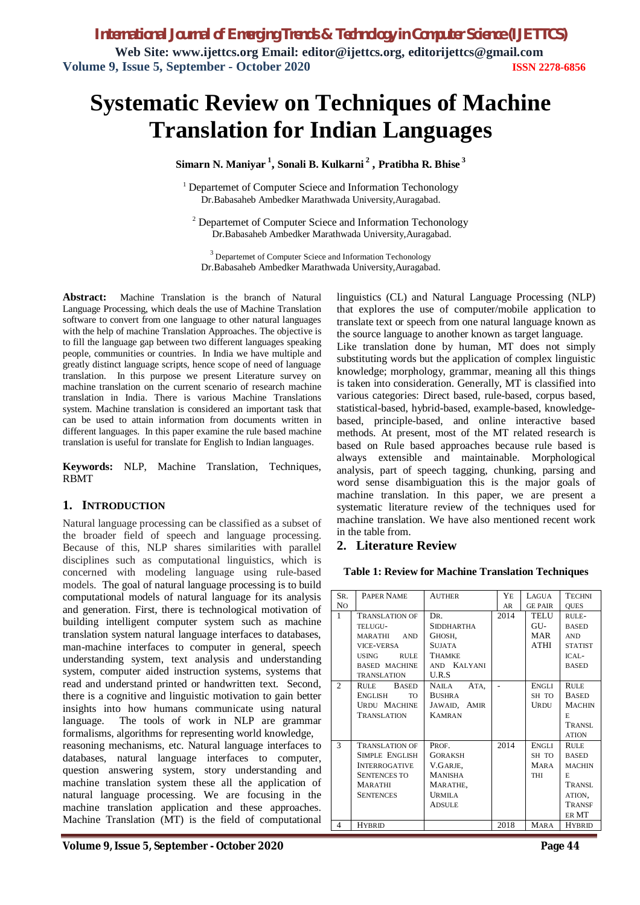*International Journal of Emerging Trends & Technology in Computer Science (IJETTCS)* **Web Site: www.ijettcs.org Email: editor@ijettcs.org, editorijettcs@gmail.com Volume 9, Issue 5, September - October 2020 ISSN 2278-6856**

# **Systematic Review on Techniques of Machine Translation for Indian Languages**

**Simarn N. Maniyar <sup>1</sup> , Sonali B. Kulkarni <sup>2</sup> , Pratibha R. Bhise <sup>3</sup>**

<sup>1</sup> Departemet of Computer Sciece and Information Techonology Dr.Babasaheb Ambedker Marathwada University,Auragabad.

<sup>2</sup> Departemet of Computer Sciece and Information Techonology Dr.Babasaheb Ambedker Marathwada University,Auragabad.

<sup>3</sup> Departemet of Computer Sciece and Information Techonology Dr.Babasaheb Ambedker Marathwada University,Auragabad.

**Abstract:**Machine Translation is the branch of Natural Language Processing, which deals the use of Machine Translation software to convert from one language to other natural languages with the help of machine Translation Approaches. The objective is to fill the language gap between two different languages speaking people, communities or countries. In India we have multiple and greatly distinct language scripts, hence scope of need of language translation. In this purpose we present Literature survey on machine translation on the current scenario of research machine translation in India. There is various Machine Translations system. Machine translation is considered an important task that can be used to attain information from documents written in different languages. In this paper examine the rule based machine translation is useful for translate for English to Indian languages.

**Keywords:** NLP, Machine Translation, Techniques, RBMT

#### **1. INTRODUCTION**

Natural language processing can be classified as a subset of the broader field of speech and language processing. Because of this, NLP shares similarities with parallel disciplines such as computational linguistics, which is concerned with modeling language using rule-based models.The goal of natural language processing is to build computational models of natural language for its analysis and generation. First, there is technological motivation of building intelligent computer system such as machine translation system natural language interfaces to databases, man-machine interfaces to computer in general, speech understanding system, text analysis and understanding system, computer aided instruction systems, systems that read and understand printed or handwritten text. Second, there is a cognitive and linguistic motivation to gain better insights into how humans communicate using natural language. The tools of work in NLP are grammar formalisms, algorithms for representing world knowledge, reasoning mechanisms, etc. Natural language interfaces to databases, natural language interfaces to computer, question answering system, story understanding and machine translation system these all the application of natural language processing. We are focusing in the machine translation application and these approaches. Machine Translation (MT) is the field of computational

linguistics (CL) and Natural Language Processing (NLP) that explores the use of computer/mobile application to translate text or speech from one natural language known as the source language to another known as target language.

Like translation done by human, MT does not simply substituting words but the application of complex linguistic knowledge; morphology, grammar, meaning all this things is taken into consideration. Generally, MT is classified into various categories: Direct based, rule-based, corpus based, statistical-based, hybrid-based, example-based, knowledgebased, principle-based, and online interactive based methods. At present, most of the MT related research is based on Rule based approaches because rule based is always extensible and maintainable. Morphological analysis, part of speech tagging, chunking, parsing and word sense disambiguation this is the major goals of machine translation. In this paper, we are present a systematic literature review of the techniques used for machine translation. We have also mentioned recent work in the table from.

#### **2. Literature Review**

**Table 1: Review for Machine Translation Techniques**

| SR.          | PAPER NAME                   | <b>AUTHER</b>     | YE   | LAGUA          | <b>TECHNI</b>  |
|--------------|------------------------------|-------------------|------|----------------|----------------|
| No           |                              |                   | AR   | <b>GE PAIR</b> | <b>OUES</b>    |
| $\mathbf{1}$ | <b>TRANSLATION OF</b>        | DR.               | 2014 | TELU           | R              |
|              | TELUGU-                      | <b>SIDDHARTHA</b> |      | GU-            | <b>BASED</b>   |
|              | <b>MARATHI</b><br><b>AND</b> | GHOSH,            |      | MAR            | <b>AND</b>     |
|              | <b>VICE-VERSA</b>            | <b>SUJATA</b>     |      | ATHI           | <b>STATIST</b> |
|              | <b>USING</b><br><b>RULE</b>  | <b>THAMKE</b>     |      |                | ICAL-          |
|              | <b>BASED MACHINE</b>         | AND KALYANI       |      |                | <b>BASED</b>   |
|              | <b>TRANSLATION</b>           | U.R.S             |      |                |                |
| 2            | <b>RULE</b><br><b>BASED</b>  | NAILA<br>ATA,     |      | ENGLI          | <b>RULE</b>    |
|              | <b>ENGLISH</b><br><b>TO</b>  | <b>BUSHRA</b>     |      | SH TO          | <b>BASED</b>   |
|              | <b>URDU MACHINE</b>          | JAWAID, AMIR      |      | URDU           | <b>MACHIN</b>  |
|              | <b>TRANSLATION</b>           | <b>KAMRAN</b>     |      |                | E              |
|              |                              |                   |      |                | TRANSL         |
|              |                              |                   |      |                | <b>ATION</b>   |
| 3            | <b>TRANSLATION OF</b>        | PROF.             | 2014 | <b>ENGLI</b>   | <b>RULE</b>    |
|              | SIMPLE ENGLISH               | <b>GORAKSH</b>    |      | SH TO          | <b>BASED</b>   |
|              | <b>INTERROGATIVE</b>         | V.GARJE,          |      | <b>MARA</b>    | <b>MACHIN</b>  |
|              | <b>SENTENCES TO</b>          | <b>MANISHA</b>    |      | THI            | E              |
|              | <b>MARATHI</b>               | MARATHE,          |      |                | TRANSL.        |
|              | <b>SENTENCES</b>             | <b>URMILA</b>     |      |                | ATION,         |
|              |                              | <b>ADSULE</b>     |      |                | TRANSF         |
|              |                              |                   |      |                | ER MT          |
| 4            | <b>HYBRID</b>                |                   | 2018 | <b>MARA</b>    | <b>HYBRID</b>  |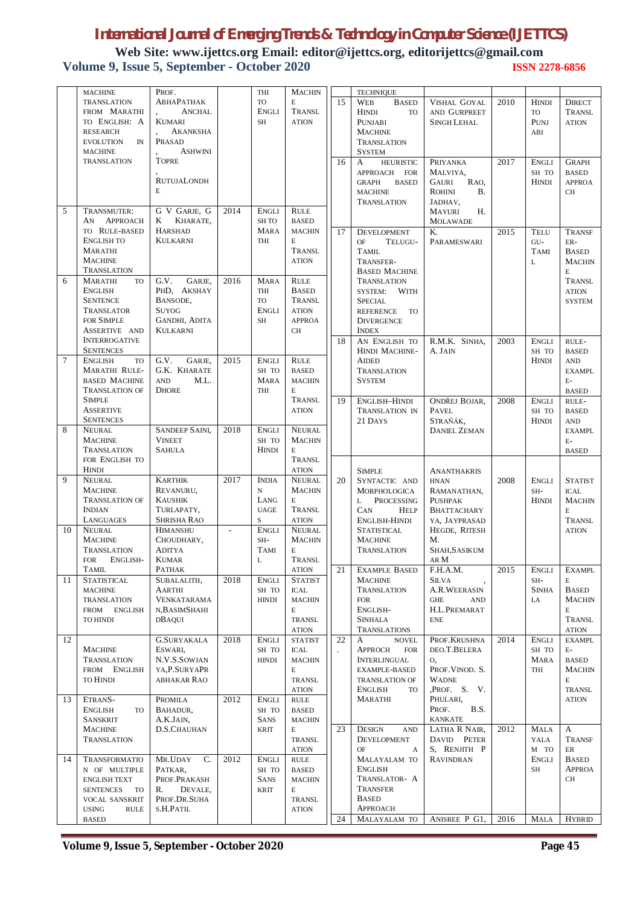**Web Site: www.ijettcs.org Email: editor@ijettcs.org, editorijettcs@gmail.com Volume 9, Issue 5, September - October 2020 ISSN 2278-6856**

|          | <b>MACHINE</b>                                                                                                                               | PROF.                                                                                                       |              | THI                                                                     | <b>MACHIN</b>                                                                                          |    | <b>TECHNIQUE</b>                                                                                                                                      |                                                                                                              |      |                                              |                                                                                              |
|----------|----------------------------------------------------------------------------------------------------------------------------------------------|-------------------------------------------------------------------------------------------------------------|--------------|-------------------------------------------------------------------------|--------------------------------------------------------------------------------------------------------|----|-------------------------------------------------------------------------------------------------------------------------------------------------------|--------------------------------------------------------------------------------------------------------------|------|----------------------------------------------|----------------------------------------------------------------------------------------------|
|          | <b>TRANSLATION</b><br>FROM MARATHI<br>TO ENGLISH: A<br><b>RESEARCH</b><br><b>EVOLUTION</b><br>IN<br><b>MACHINE</b>                           | ABHAPATHAK<br><b>ANCHAL</b><br><b>KUMARI</b><br><b>AKANKSHA</b><br>PRASAD<br><b>ASHWINI</b><br><b>TOPRE</b> |              | <b>TO</b><br><b>ENGLI</b><br>SH                                         | E<br>TRANSL<br><b>ATION</b>                                                                            | 15 | WEB<br><b>BASED</b><br><b>HINDI</b><br><b>TO</b><br><b>PUNJABI</b><br><b>MACHINE</b><br><b>TRANSLATION</b><br><b>SYSTEM</b>                           | <b>VISHAL GOYAL</b><br>AND GURPREET<br><b>SINGH LEHAL</b>                                                    | 2010 | <b>HINDI</b><br>TO<br>PUNJ<br>ABI            | <b>DIRECT</b><br>TRANSL<br><b>ATION</b>                                                      |
| 5        | <b>TRANSLATION</b><br>TRANSMUTER:                                                                                                            | <b>RUTUJALONDH</b><br>E<br>G V GARJE, G                                                                     | 2014         | <b>ENGLI</b>                                                            | <b>RULE</b>                                                                                            | 16 | A<br><b>HEURISTIC</b><br>APPROACH FOR<br><b>BASED</b><br><b>GRAPH</b><br><b>MACHINE</b><br><b>TRANSLATION</b>                                         | PRIYANKA<br>MALVIYA,<br>RAO,<br><b>GAURI</b><br><b>ROHINI</b><br><b>B.</b><br>JADHAV,<br>Н.<br><b>MAYURI</b> | 2017 | <b>ENGLI</b><br>SH TO<br><b>HINDI</b>        | <b>GRAPH</b><br><b>BASED</b><br><b>APPROA</b><br><b>CH</b>                                   |
|          | <b>APPROACH</b><br>AN<br>TO RULE-BASED<br><b>ENGLISH TO</b><br><b>MARATHI</b><br><b>MACHINE</b><br>TRANSLATION                               | KHARATE,<br>K<br><b>HARSHAD</b><br><b>KULKARNI</b>                                                          |              | <b>SH TO</b><br><b>MARA</b><br>THI                                      | <b>BASED</b><br><b>MACHIN</b><br>E<br>TRANSL<br><b>ATION</b>                                           | 17 | <b>DEVELOPMENT</b><br><b>OF</b><br>TELUGU-<br><b>TAMIL</b><br>TRANSFER-<br><b>BASED MACHINE</b>                                                       | <b>MOLAWADE</b><br>K.<br>PARAMESWARI                                                                         | 2015 | TELU<br>$GU-$<br><b>TAMI</b><br>$\mathbf{L}$ | TRANSF<br>ER-<br><b>BASED</b><br><b>MACHIN</b><br>E                                          |
| 6        | <b>MARATHI</b><br><b>TO</b><br><b>ENGLISH</b><br><b>SENTENCE</b><br>TRANSLATOR<br><b>FOR SIMPLE</b><br>ASSERTIVE AND<br><b>INTERROGATIVE</b> | G.V.<br>GARJE,<br>PHD, AKSHAY<br>BANSODE,<br><b>SUYOG</b><br><b>GANDHI, ADITA</b><br><b>KULKARNI</b>        | 2016         | <b>MARA</b><br>THI<br>TO<br><b>ENGLI</b><br><b>SH</b>                   | <b>RULE</b><br><b>BASED</b><br>TRANSL<br><b>ATION</b><br><b>APPROA</b><br><b>CH</b>                    | 18 | <b>TRANSLATION</b><br>SYSTEM:<br>With<br><b>SPECIAL</b><br><b>REFERENCE</b><br><b>TO</b><br><b>DIVERGENCE</b><br><b>INDEX</b><br>AN ENGLISH TO        | R.M.K. SINHA,                                                                                                | 2003 | ENGLI                                        | TRANSL<br><b>ATION</b><br><b>SYSTEM</b><br>RULE-                                             |
| 7        | <b>SENTENCES</b><br><b>ENGLISH</b><br><b>TO</b><br><b>MARATHI RULE-</b><br><b>BASED MACHINE</b><br><b>TRANSLATION OF</b><br><b>SIMPLE</b>    | G.V.<br>GARJE,<br>G.K. KHARATE<br><b>AND</b><br>M.L.<br><b>DHORE</b>                                        | 2015         | <b>ENGLI</b><br>SH TO<br><b>MARA</b><br>THI                             | <b>RULE</b><br><b>BASED</b><br><b>MACHIN</b><br>E<br>TRANSL                                            | 19 | HINDI MACHINE-<br><b>AIDED</b><br><b>TRANSLATION</b><br><b>SYSTEM</b><br>ENGLISH-HINDI                                                                | A. JAIN<br>ONDŘEJ BOJAR,                                                                                     | 2008 | SH TO<br><b>HINDI</b><br><b>ENGLI</b>        | <b>BASED</b><br>AND<br><b>EXAMPL</b><br>$E-$<br><b>BASED</b><br>RULE-                        |
|          | <b>ASSERTIVE</b><br><b>SENTENCES</b>                                                                                                         |                                                                                                             |              |                                                                         | <b>ATION</b>                                                                                           |    | TRANSLATION IN<br>21 DAYS                                                                                                                             | <b>PAVEL</b><br>STRAŇÁK,                                                                                     |      | SH TO<br><b>HINDI</b>                        | <b>BASED</b><br><b>AND</b>                                                                   |
| 8        | <b>NEURAL</b><br><b>MACHINE</b><br><b>TRANSLATION</b><br>FOR ENGLISH TO                                                                      | SANDEEP SAINI,<br><b>VINEET</b><br><b>SAHULA</b>                                                            | 2018         | <b>ENGLI</b><br>SH TO<br><b>HINDI</b>                                   | <b>NEURAL</b><br><b>MACHIN</b><br>E<br>TRANSL                                                          |    |                                                                                                                                                       | <b>DANIEL ZEMAN</b>                                                                                          |      |                                              | <b>EXAMPL</b><br>$E-$<br><b>BASED</b>                                                        |
| 9<br>10  | <b>HINDI</b><br><b>NEURAL</b><br><b>MACHINE</b><br><b>TRANSLATION OF</b><br><b>INDIAN</b><br>LANGUAGES<br><b>NEURAL</b>                      | <b>KARTHIK</b><br>REVANURU,<br><b>KAUSHIK</b><br>TURLAPATY,<br><b>SHRISHA RAO</b><br><b>HIMANSHU</b>        | 2017         | <b>INDIA</b><br>$\mathbf N$<br>LANG<br><b>UAGE</b><br>S<br><b>ENGLI</b> | <b>ATION</b><br><b>NEURAL</b><br><b>MACHIN</b><br>E<br>TRANSL<br><b>ATION</b><br><b>NEURAL</b>         | 20 | <b>SIMPLE</b><br>SYNTACTIC AND<br>MORPHOLOGICA<br>PROCESSING<br>L<br>CAN<br><b>HELP</b><br>ENGLISH-HINDI<br><b>STATISTICAL</b>                        | <b>ANANTHAKRIS</b><br><b>HNAN</b><br>RAMANATHAN,<br><b>PUSHPAK</b><br><b>BHATTACHARY</b><br>YA, JAYPRASAD    | 2008 | ENGLI<br>SH-<br><b>HINDI</b>                 | <b>STATIST</b><br><b>ICAL</b><br><b>MACHIN</b><br>E<br>TRANSL                                |
|          | <b>MACHINE</b><br>TRANSLATION<br>ENGLISH-<br><b>FOR</b>                                                                                      | CHOUDHARY,<br><b>ADITYA</b><br><b>KUMAR</b>                                                                 |              | SH-<br><b>TAMI</b><br>L                                                 | <b>MACHIN</b><br>E<br>TRANSL                                                                           |    | <b>MACHINE</b><br><b>TRANSLATION</b>                                                                                                                  | HEGDE, RITESH<br>M.<br>SHAH, SASIKUM<br>AR M                                                                 |      |                                              | <b>ATION</b>                                                                                 |
| 11       | TAMIL<br><b>STATISTICAL</b><br><b>MACHINE</b><br><b>TRANSLATION</b><br>FROM ENGLISH<br>TO HINDI                                              | PATHAK<br>SUBALALITH,<br>AARTHI<br><b>VENKATARAMA</b><br>N,BASIMSHAHI<br>DBAQUI                             | 2018         | ENGLI<br>SH TO<br><b>HINDI</b>                                          | <b>ATION</b><br><b>STATIST</b><br>ICAL<br><b>MACHIN</b><br>E<br>TRANSL<br><b>ATION</b>                 | 21 | <b>EXAMPLE BASED</b><br><b>MACHINE</b><br><b>TRANSLATION</b><br><b>FOR</b><br>ENGLISH-<br><b>SINHALA</b><br><b>TRANSLATIONS</b>                       | F.H.A.M.<br><b>SILVA</b><br>A.R.WEERASIN<br><b>GHE</b><br>$\mathbf{AND}$<br>H.L.PREMARAT<br><b>ENE</b>       | 2015 | ENGLI<br>SH-<br><b>SINHA</b><br>LA           | <b>EXAMPL</b><br>E<br><b>BASED</b><br><b>MACHIN</b><br>$\mathbf E$<br>TRANSL<br><b>ATION</b> |
| 12<br>13 | <b>MACHINE</b><br><b>TRANSLATION</b><br>FROM ENGLISH<br><b>TO HINDI</b><br>ETRANS-                                                           | <b>G.SURYAKALA</b><br>ESWARI,<br>N.V.S.SOWJAN<br>YA, P. SURYAPR<br><b>ABHAKAR RAO</b><br>PROMILA            | 2018<br>2012 | <b>ENGLI</b><br>SH TO<br><b>HINDI</b><br><b>ENGLI</b>                   | <b>STATIST</b><br>ICAL<br><b>MACHIN</b><br>E<br><b>TRANSL</b><br><b>ATION</b><br>$\operatorname{RULE}$ | 22 | <b>NOVEL</b><br>A<br><b>APPROCH</b><br><b>FOR</b><br>INTERLINGUAL<br>EXAMPLE-BASED<br><b>TRANSLATION OF</b><br><b>ENGLISH</b><br>TO<br><b>MARATHI</b> | PROF. KRUSHNA<br>DEO.T.BELERA<br>Ο,<br>PROF. VINOD. S.<br><b>WADNE</b><br>PROF. S. V.<br>PHULARI,            | 2014 | <b>ENGLI</b><br>SH TO<br>MARA<br>THI         | <b>EXAMPL</b><br>$E-$<br><b>BASED</b><br><b>MACHIN</b><br>E<br>TRANSL<br><b>ATION</b>        |
|          | ENGLISH<br>TO<br><b>SANSKRIT</b><br><b>MACHINE</b><br>TRANSLATION                                                                            | BAHADUR,<br>A.K.JAIN,<br>D.S.CHAUHAN                                                                        |              | SH TO<br><b>SANS</b><br><b>KRIT</b>                                     | <b>BASED</b><br><b>MACHIN</b><br>E<br><b>TRANSL</b>                                                    | 23 | <b>DESIGN</b><br><b>AND</b><br><b>DEVELOPMENT</b>                                                                                                     | PROF.<br><b>B.S.</b><br><b>KANKATE</b><br>LATHA R NAIR,<br>DAVID PETER                                       | 2012 | <b>MALA</b><br>YALA                          | A<br><b>TRANSF</b>                                                                           |
| 14       | TRANSFORMATIO<br>N OF MULTIPLE<br><b>ENGLISH TEXT</b><br><b>SENTENCES</b><br>TO<br>VOCAL SANSKRIT<br>USING<br><b>RULE</b><br><b>BASED</b>    | MR.UDAY<br>C.<br>PATKAR,<br>PROF.PRAKASH<br>R.<br>DEVALE,<br>PROF.DR.SUHA<br>S.H.PATIL                      | 2012         | <b>ENGLI</b><br>SH TO<br><b>SANS</b><br><b>KRIT</b>                     | <b>ATION</b><br><b>RULE</b><br><b>BASED</b><br><b>MACHIN</b><br>E<br>TRANSL<br><b>ATION</b>            | 24 | OF<br>A<br>MALAYALAM TO<br><b>ENGLISH</b><br>TRANSLATOR- A<br>TRANSFER<br><b>BASED</b><br><b>APPROACH</b><br>MALAYALAM TO                             | S, RENJITH P<br><b>RAVINDRAN</b><br>ANISREE P G1,                                                            | 2016 | M TO<br>ENGLI<br>SH<br>MALA                  | ER<br><b>BASED</b><br><b>APPROA</b><br>CH<br><b>HYBRID</b>                                   |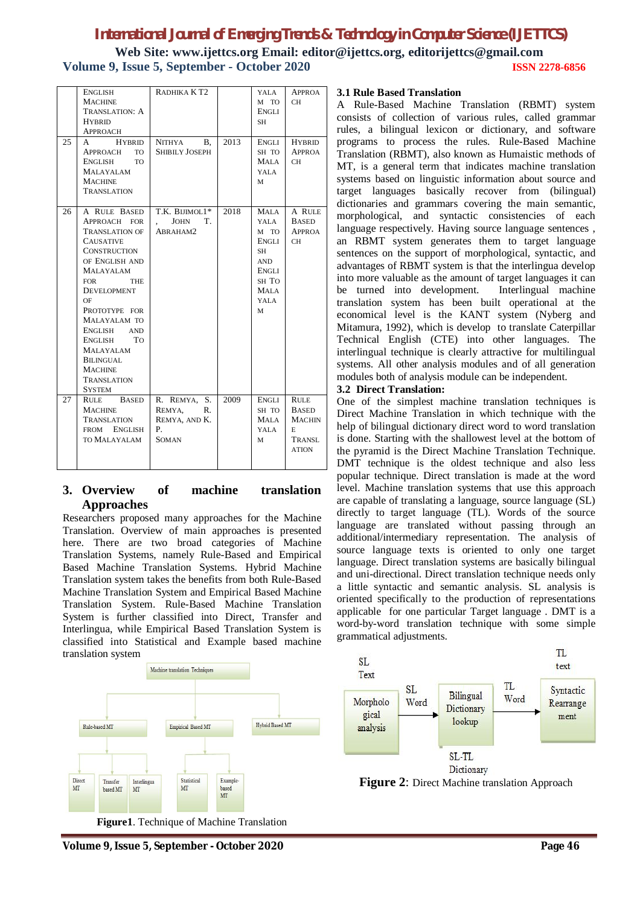**Web Site: www.ijettcs.org Email: editor@ijettcs.org, editorijettcs@gmail.com Volume 9, Issue 5, September - October 2020 ISSN 2278-6856**

| 25 | ENGLISH<br><b>MACHINE</b><br>TRANSLATION: A<br><b>HYBRID</b><br><b>APPROACH</b><br>A HYBRID                                                                                                                                                                                                                                                                       | RADHIKA KT <sub>2</sub><br>NITHYA B,                                | 2013 | YALA<br>M TO<br>ENGLI<br><b>SH</b><br>ENGLI                                              | <b>APPROA</b><br>CH<br><b>HYBRID</b>                                        |
|----|-------------------------------------------------------------------------------------------------------------------------------------------------------------------------------------------------------------------------------------------------------------------------------------------------------------------------------------------------------------------|---------------------------------------------------------------------|------|------------------------------------------------------------------------------------------|-----------------------------------------------------------------------------|
|    | TO.<br>APPROACH<br>ENGLISH<br><b>TO</b><br>MALAYALAM<br><b>MACHINE</b><br><b>TRANSLATION</b>                                                                                                                                                                                                                                                                      | <b>SHIBILY JOSEPH</b>                                               |      | SH TO<br>MALA<br>YALA<br>M                                                               | <b>APPROA</b><br><b>CH</b>                                                  |
| 26 | A RULE BASED<br>APPROACH FOR<br><b>TRANSLATION OF</b><br><b>CAUSATIVE</b><br><b>CONSTRUCTION</b><br>OF ENGLISH AND<br><b>MALAYALAM</b><br><b>FOR</b><br><b>THE</b><br><b>DEVELOPMENT</b><br>OF<br>PROTOTYPE FOR<br>MALAYALAM TO<br>ENGLISH<br>AND<br>T <sub>O</sub><br>ENGLISH<br>MALAYALAM<br>BILINGUAL<br><b>MACHINE</b><br><b>TRANSLATION</b><br><b>SYSTEM</b> | T.K. BIJIMOL1*<br><b>JOHN</b><br>T.<br>ABRAHAM2                     | 2018 | <b>MALA</b><br>YALA<br>M TO<br>ENGLI<br>SH<br>AND<br>ENGLI<br>SH TO<br>MALA<br>YALA<br>M | A RULE<br><b>BASED</b><br>APPROA<br>CH                                      |
| 27 | RULE BASED<br><b>MACHINE</b><br>TRANSLATION<br>FROM ENGLISH<br>TO MALAYALAM                                                                                                                                                                                                                                                                                       | R. REMYA, S.<br>REMYA.<br>R.<br>REMYA, AND K.<br>Ρ.<br><b>SOMAN</b> | 2009 | ENGLI<br>SH TO<br>MALA<br>YALA<br>M                                                      | <b>RULE</b><br><b>BASED</b><br><b>MACHIN</b><br>E<br>TRANSL<br><b>ATION</b> |

### **3. Overview of machine translation Approaches**

Researchers proposed many approaches for the Machine Translation. Overview of main approaches is presented here. There are two broad categories of Machine Translation Systems, namely Rule-Based and Empirical Based Machine Translation Systems. Hybrid Machine Translation system takes the benefits from both Rule-Based Machine Translation System and Empirical Based Machine Translation System. Rule-Based Machine Translation System is further classified into Direct, Transfer and Interlingua, while Empirical Based Translation System is classified into Statistical and Example based machine translation system



#### **Figure1**. Technique of Machine Translation

#### **3.1 Rule Based Translation**

A Rule-Based Machine Translation (RBMT) system consists of collection of various rules, called grammar rules, a bilingual lexicon or dictionary, and software programs to process the rules. Rule-Based Machine Translation (RBMT), also known as Humaistic methods of MT, is a general term that indicates machine translation systems based on linguistic information about source and target languages basically recover from (bilingual) dictionaries and grammars covering the main semantic, morphological, and syntactic consistencies of each language respectively. Having source language sentences , an RBMT system generates them to target language sentences on the support of morphological, syntactic, and advantages of RBMT system is that the interlingua develop into more valuable as the amount of target languages it can be turned into development. Interlingual machine translation system has been built operational at the economical level is the KANT system (Nyberg and Mitamura, 1992), which is develop to translate Caterpillar Technical English (CTE) into other languages. The interlingual technique is clearly attractive for multilingual systems. All other analysis modules and of all generation modules both of analysis module can be independent.

#### **3.2 Direct Translation:**

One of the simplest machine translation techniques is Direct Machine Translation in which technique with the help of bilingual dictionary direct word to word translation is done. Starting with the shallowest level at the bottom of the pyramid is the Direct Machine Translation Technique. DMT technique is the oldest technique and also less popular technique. Direct translation is made at the word level. Machine translation systems that use this approach are capable of translating a language, source language (SL) directly to target language (TL). Words of the source language are translated without passing through an additional/intermediary representation. The analysis of source language texts is oriented to only one target language. Direct translation systems are basically bilingual and uni-directional. Direct translation technique needs only a little syntactic and semantic analysis. SL analysis is oriented specifically to the production of representations applicable for one particular Target language . DMT is a word-by-word translation technique with some simple grammatical adjustments.



**Figure 2**: Direct Machine translation Approach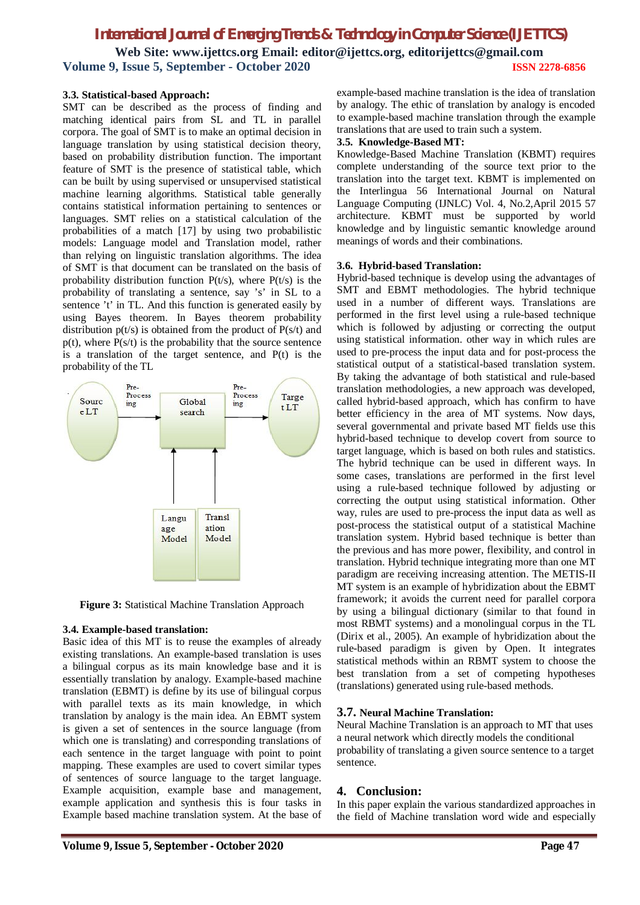## *International Journal of Emerging Trends & Technology in Computer Science (IJETTCS)* **Web Site: www.ijettcs.org Email: editor@ijettcs.org, editorijettcs@gmail.com Volume 9, Issue 5, September - October 2020 ISSN 2278-6856**

#### **3.3. Statistical-based Approach:**

SMT can be described as the process of finding and matching identical pairs from SL and TL in parallel corpora. The goal of SMT is to make an optimal decision in language translation by using statistical decision theory, based on probability distribution function. The important feature of SMT is the presence of statistical table, which can be built by using supervised or unsupervised statistical machine learning algorithms. Statistical table generally contains statistical information pertaining to sentences or languages. SMT relies on a statistical calculation of the probabilities of a match [17] by using two probabilistic models: Language model and Translation model, rather than relying on linguistic translation algorithms. The idea of SMT is that document can be translated on the basis of probability distribution function  $P(t/s)$ , where  $P(t/s)$  is the probability of translating a sentence, say 's' in SL to a sentence 't' in TL. And this function is generated easily by using Bayes theorem. In Bayes theorem probability distribution  $p(t/s)$  is obtained from the product of  $P(s/t)$  and  $p(t)$ , where  $P(s/t)$  is the probability that the source sentence is a translation of the target sentence, and  $P(t)$  is the probability of the TL



**Figure 3:** Statistical Machine Translation Approach

#### **3.4. Example-based translation:**

Basic idea of this MT is to reuse the examples of already existing translations. An example-based translation is uses a bilingual corpus as its main knowledge base and it is essentially translation by analogy. Example-based machine translation (EBMT) is define by its use of bilingual corpus with parallel texts as its main knowledge, in which translation by analogy is the main idea. An EBMT system is given a set of sentences in the source language (from which one is translating) and corresponding translations of each sentence in the target language with point to point mapping. These examples are used to covert similar types of sentences of source language to the target language. Example acquisition, example base and management, example application and synthesis this is four tasks in Example based machine translation system. At the base of

example-based machine translation is the idea of translation by analogy. The ethic of translation by analogy is encoded to example-based machine translation through the example translations that are used to train such a system.

#### **3.5. Knowledge-Based MT:**

Knowledge-Based Machine Translation (KBMT) requires complete understanding of the source text prior to the translation into the target text. KBMT is implemented on the Interlingua 56 International Journal on Natural Language Computing (IJNLC) Vol. 4, No.2,April 2015 57 architecture. KBMT must be supported by world knowledge and by linguistic semantic knowledge around meanings of words and their combinations.

#### **3.6. Hybrid-based Translation:**

Hybrid-based technique is develop using the advantages of SMT and EBMT methodologies. The hybrid technique used in a number of different ways. Translations are performed in the first level using a rule-based technique which is followed by adjusting or correcting the output using statistical information. other way in which rules are used to pre-process the input data and for post-process the statistical output of a statistical-based translation system. By taking the advantage of both statistical and rule-based translation methodologies, a new approach was developed, called hybrid-based approach, which has confirm to have better efficiency in the area of MT systems. Now days, several governmental and private based MT fields use this hybrid-based technique to develop covert from source to target language, which is based on both rules and statistics. The hybrid technique can be used in different ways. In some cases, translations are performed in the first level using a rule-based technique followed by adjusting or correcting the output using statistical information. Other way, rules are used to pre-process the input data as well as post-process the statistical output of a statistical Machine translation system. Hybrid based technique is better than the previous and has more power, flexibility, and control in translation. Hybrid technique integrating more than one MT paradigm are receiving increasing attention. The METIS-II MT system is an example of hybridization about the EBMT framework; it avoids the current need for parallel corpora by using a bilingual dictionary (similar to that found in most RBMT systems) and a monolingual corpus in the TL (Dirix et al., 2005). An example of hybridization about the rule-based paradigm is given by Open. It integrates statistical methods within an RBMT system to choose the best translation from a set of competing hypotheses (translations) generated using rule-based methods.

#### **3.7. Neural Machine Translation:**

Neural Machine Translation is an approach to MT that uses a neural network which directly models the conditional probability of translating a given source sentence to a target sentence.

#### **4. Conclusion:**

In this paper explain the various standardized approaches in the field of Machine translation word wide and especially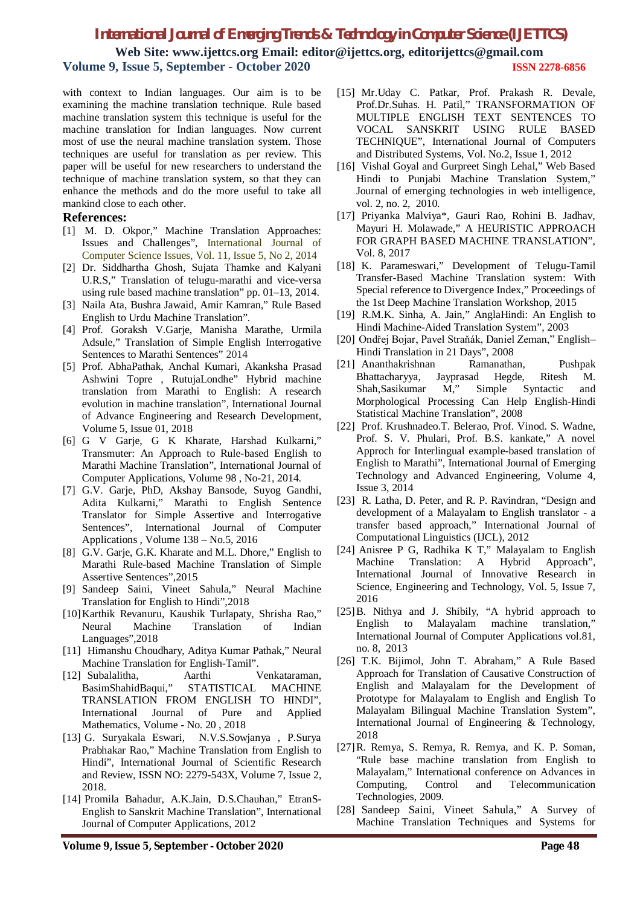**Web Site: www.ijettcs.org Email: editor@ijettcs.org, editorijettcs@gmail.com Volume 9, Issue 5, September - October 2020 ISSN 2278-6856**

with context to Indian languages. Our aim is to be examining the machine translation technique. Rule based machine translation system this technique is useful for the machine translation for Indian languages. Now current most of use the neural machine translation system. Those techniques are useful for translation as per review. This paper will be useful for new researchers to understand the technique of machine translation system, so that they can enhance the methods and do the more useful to take all mankind close to each other.

#### **References:**

- [1] M. D. Okpor," Machine Translation Approaches: Issues and Challenges", International Journal of Computer Science Issues, Vol. 11, Issue 5, No 2, 2014
- [2] Dr. Siddhartha Ghosh, Sujata Thamke and Kalyani U.R.S," Translation of telugu-marathi and vice-versa using rule based machine translation" pp. 01–13, 2014.
- [3] Naila Ata, Bushra Jawaid, Amir Kamran," Rule Based English to Urdu Machine Translation".
- [4] Prof. Goraksh V.Garje, Manisha Marathe, Urmila Adsule," Translation of Simple English Interrogative Sentences to Marathi Sentences" 2014
- [5] Prof. AbhaPathak, Anchal Kumari, Akanksha Prasad Ashwini Topre , RutujaLondhe" Hybrid machine translation from Marathi to English: A research evolution in machine translation", International Journal of Advance Engineering and Research Development, Volume 5, Issue 01, 2018
- [6] G V Garje, G K Kharate, Harshad Kulkarni," Transmuter: An Approach to Rule-based English to Marathi Machine Translation", International Journal of Computer Applications, Volume 98 , No-21, 2014.
- [7] G.V. Garje, PhD, Akshay Bansode, Suyog Gandhi, Adita Kulkarni," Marathi to English Sentence Translator for Simple Assertive and Interrogative Sentences", International Journal of Computer Applications , Volume 138 – No.5, 2016
- [8] G.V. Garje, G.K. Kharate and M.L. Dhore," English to Marathi Rule-based Machine Translation of Simple Assertive Sentences",2015
- [9] Sandeep Saini, Vineet Sahula," Neural Machine Translation for English to Hindi",2018
- [10]Karthik Revanuru, Kaushik Turlapaty, Shrisha Rao," Neural Machine Translation of Indian Languages",2018
- [11] Himanshu Choudhary, Aditya Kumar Pathak," Neural Machine Translation for English-Tamil".
- [12] Subalalitha, Aarthi Venkataraman, BasimShahidBaqui," STATISTICAL MACHINE TRANSLATION FROM ENGLISH TO HINDI", International Journal of Pure and Applied Mathematics, Volume - No. 20 , 2018
- [13] G. Suryakala Eswari, N.V.S.Sowjanya , P.Surya Prabhakar Rao," Machine Translation from English to Hindi", International Journal of Scientific Research and Review, ISSN NO: 2279-543X, Volume 7, Issue 2, 2018.
- [14] Promila Bahadur, A.K.Jain, D.S.Chauhan," EtranS-English to Sanskrit Machine Translation", International Journal of Computer Applications, 2012
- [15] Mr.Uday C. Patkar, Prof. Prakash R. Devale, Prof.Dr.Suhas. H. Patil," TRANSFORMATION OF MULTIPLE ENGLISH TEXT SENTENCES TO VOCAL SANSKRIT USING RULE BASED TECHNIQUE", International Journal of Computers and Distributed Systems, Vol. No.2, Issue 1, 2012
- [16] Vishal Goyal and Gurpreet Singh Lehal," Web Based Hindi to Punjabi Machine Translation System," Journal of emerging technologies in web intelligence, vol. 2, no. 2, 2010.
- [17] Priyanka Malviya\*, Gauri Rao, Rohini B. Jadhav, Mayuri H. Molawade," A HEURISTIC APPROACH FOR GRAPH BASED MACHINE TRANSLATION", Vol. 8, 2017
- [18] K. Parameswari," Development of Telugu-Tamil Transfer-Based Machine Translation system: With Special reference to Divergence Index," Proceedings of the 1st Deep Machine Translation Workshop, 2015
- [19] R.M.K. Sinha, A. Jain," AnglaHindi: An English to Hindi Machine-Aided Translation System", 2003
- [20] Ondřej Bojar, Pavel Straňák, Daniel Zeman," English– Hindi Translation in 21 Days", 2008
- [21] Ananthakrishnan Ramanathan, Pushpak Bhattacharyya, Jayprasad Hegde, Ritesh M. Shah,Sasikumar M," Simple Syntactic and Morphological Processing Can Help English-Hindi Statistical Machine Translation", 2008
- [22] Prof. Krushnadeo.T. Belerao, Prof. Vinod. S. Wadne, Prof. S. V. Phulari, Prof. B.S. kankate," A novel Approch for Interlingual example-based translation of English to Marathi", International Journal of Emerging Technology and Advanced Engineering, Volume 4, Issue 3, 2014
- [23] R. Latha, D. Peter, and R. P. Ravindran, "Design and development of a Malayalam to English translator - a transfer based approach," International Journal of Computational Linguistics (IJCL), 2012
- [24] Anisree P G, Radhika K T," Malayalam to English Machine Translation: A Hybrid Approach", International Journal of Innovative Research in Science, Engineering and Technology, Vol. 5, Issue 7, 2016
- [25]B. Nithya and J. Shibily, "A hybrid approach to English to Malayalam machine translation," International Journal of Computer Applications vol.81, no. 8, 2013
- [26] T.K. Bijimol, John T. Abraham," A Rule Based Approach for Translation of Causative Construction of English and Malayalam for the Development of Prototype for Malayalam to English and English To Malayalam Bilingual Machine Translation System", International Journal of Engineering & Technology, 2018
- [27]R. Remya, S. Remya, R. Remya, and K. P. Soman, "Rule base machine translation from English to Malayalam," International conference on Advances in Computing, Control and Telecommunication Technologies, 2009.
- [28] Sandeep Saini, Vineet Sahula," A Survey of Machine Translation Techniques and Systems for